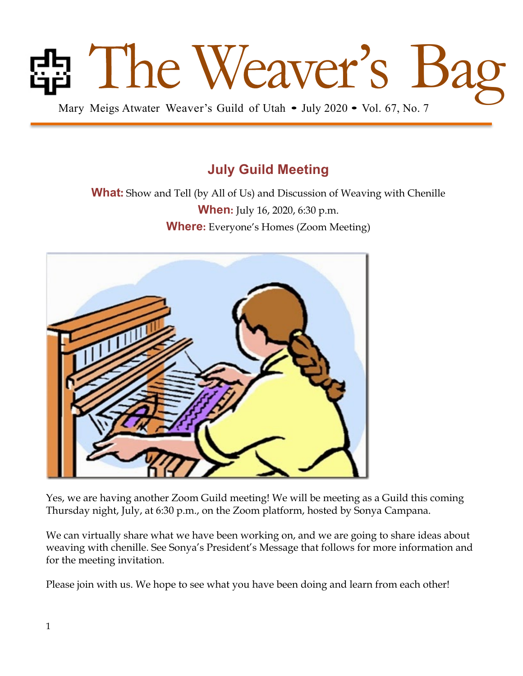

## **July Guild Meeting**

**What:** Show and Tell (by All of Us) and Discussion of Weaving with Chenille **When:** July 16, 2020, 6:30 p.m. **Where:** Everyone's Homes (Zoom Meeting)



Yes, we are having another Zoom Guild meeting! We will be meeting as a Guild this coming Thursday night, July, at 6:30 p.m., on the Zoom platform, hosted by Sonya Campana.

We can virtually share what we have been working on, and we are going to share ideas about weaving with chenille. See Sonya's President's Message that follows for more information and for the meeting invitation.

Please join with us. We hope to see what you have been doing and learn from each other!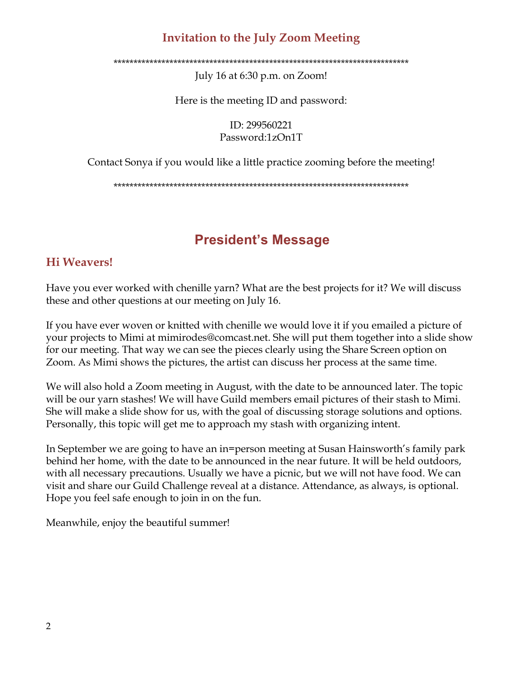#### **Invitation to the July Zoom Meeting**

\*\*\*\*\*\*\*\*\*\*\*\*\*\*\*\*\*\*\*\*\*\*\*\*\*\*\*\*\*\*\*\*\*\*\*\*\*\*\*\*\*\*\*\*\*\*\*\*\*\*\*\*\*\*\*\*\*\*\*\*\*\*\*\*\*\*\*\*\*\*\*\*\*\*

July 16 at 6:30 p.m. on Zoom!

Here is the meeting ID and password:

ID: 299560221 Password:1zOn1T

Contact Sonya if you would like a little practice zooming before the meeting!

\*\*\*\*\*\*\*\*\*\*\*\*\*\*\*\*\*\*\*\*\*\*\*\*\*\*\*\*\*\*\*\*\*\*\*\*\*\*\*\*\*\*\*\*\*\*\*\*\*\*\*\*\*\*\*\*\*\*\*\*\*\*\*\*\*\*\*\*\*\*\*\*\*\*

## **President's Message**

#### **Hi Weavers!**

Have you ever worked with chenille yarn? What are the best projects for it? We will discuss these and other questions at our meeting on July 16.

If you have ever woven or knitted with chenille we would love it if you emailed a picture of your projects to Mimi at mimirodes@comcast.net. She will put them together into a slide show for our meeting. That way we can see the pieces clearly using the Share Screen option on Zoom. As Mimi shows the pictures, the artist can discuss her process at the same time.

We will also hold a Zoom meeting in August, with the date to be announced later. The topic will be our yarn stashes! We will have Guild members email pictures of their stash to Mimi. She will make a slide show for us, with the goal of discussing storage solutions and options. Personally, this topic will get me to approach my stash with organizing intent.

In September we are going to have an in=person meeting at Susan Hainsworth's family park behind her home, with the date to be announced in the near future. It will be held outdoors, with all necessary precautions. Usually we have a picnic, but we will not have food. We can visit and share our Guild Challenge reveal at a distance. Attendance, as always, is optional. Hope you feel safe enough to join in on the fun.

Meanwhile, enjoy the beautiful summer!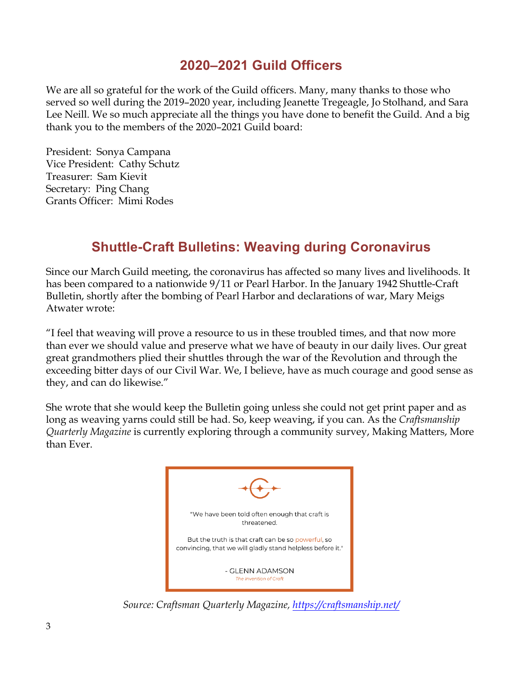### **2020–2021 Guild Officers**

We are all so grateful for the work of the Guild officers. Many, many thanks to those who served so well during the 2019–2020 year, including Jeanette Tregeagle, Jo Stolhand, and Sara Lee Neill. We so much appreciate all the things you have done to benefit the Guild. And a big thank you to the members of the 2020–2021 Guild board:

President: Sonya Campana Vice President: Cathy Schutz Treasurer: Sam Kievit Secretary: Ping Chang Grants Officer: Mimi Rodes

# **Shuttle-Craft Bulletins: Weaving during Coronavirus**

Since our March Guild meeting, the coronavirus has affected so many lives and livelihoods. It has been compared to a nationwide 9/11 or Pearl Harbor. In the January 1942 Shuttle-Craft Bulletin, shortly after the bombing of Pearl Harbor and declarations of war, Mary Meigs Atwater wrote:

"I feel that weaving will prove a resource to us in these troubled times, and that now more than ever we should value and preserve what we have of beauty in our daily lives. Our great great grandmothers plied their shuttles through the war of the Revolution and through the exceeding bitter days of our Civil War. We, I believe, have as much courage and good sense as they, and can do likewise."

She wrote that she would keep the Bulletin going unless she could not get print paper and as long as weaving yarns could still be had. So, keep weaving, if you can. As the *Craftsmanship Quarterly Magazine* is currently exploring through a community survey, Making Matters, More than Ever.



*Source: Craftsman Quarterly Magazine, https://craftsmanship.net/*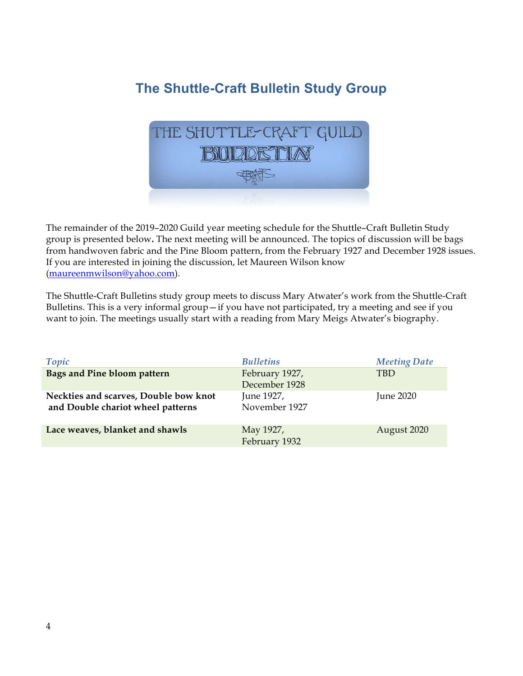# **The Shuttle-Craft Bulletin Study Group**



The remainder of the 2019–2020 Guild year meeting schedule for the Shuttle–Craft Bulletin Study group is presented below**.** The next meeting will be announced. The topics of discussion will be bags from handwoven fabric and the Pine Bloom pattern, from the February 1927 and December 1928 issues. If you are interested in joining the discussion, let Maureen Wilson know (maureenmwilson@yahoo.com).

The Shuttle-Craft Bulletins study group meets to discuss Mary Atwater's work from the Shuttle-Craft Bulletins. This is a very informal group—if you have not participated, try a meeting and see if you want to join. The meetings usually start with a reading from Mary Meigs Atwater's biography.

| Topic                                                                      | <b>Bulletins</b>                | <b>Meeting Date</b> |
|----------------------------------------------------------------------------|---------------------------------|---------------------|
| Bags and Pine bloom pattern                                                | February 1927,<br>December 1928 | <b>TBD</b>          |
| Neckties and scarves, Double bow knot<br>and Double chariot wheel patterns | June 1927,<br>November 1927     | June $2020$         |
| Lace weaves, blanket and shawls                                            | May 1927,<br>February 1932      | August 2020         |